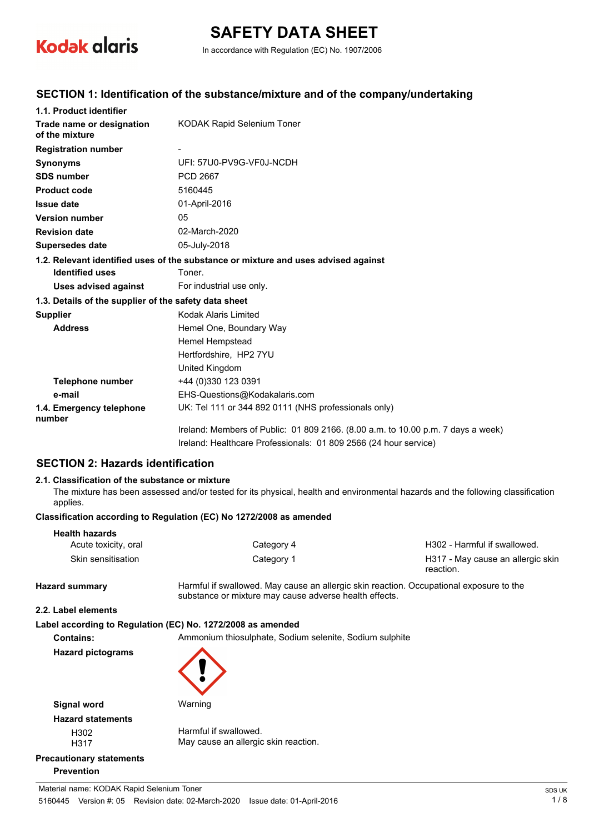

# **SAFETY DATA SHEET**

In accordance with Regulation (EC) No. 1907/2006

#### **SECTION 1: Identification of the substance/mixture and of the company/undertaking**

| 1.1. Product identifier                               |                                                                                    |
|-------------------------------------------------------|------------------------------------------------------------------------------------|
| Trade name or designation<br>of the mixture           | <b>KODAK Rapid Selenium Toner</b>                                                  |
| <b>Registration number</b>                            |                                                                                    |
| <b>Synonyms</b>                                       | UFI: 57U0-PV9G-VF0J-NCDH                                                           |
| <b>SDS number</b>                                     | <b>PCD 2667</b>                                                                    |
| <b>Product code</b>                                   | 5160445                                                                            |
| <b>Issue date</b>                                     | 01-April-2016                                                                      |
| <b>Version number</b>                                 | 05                                                                                 |
| <b>Revision date</b>                                  | 02-March-2020                                                                      |
| <b>Supersedes date</b>                                | 05-July-2018                                                                       |
|                                                       | 1.2. Relevant identified uses of the substance or mixture and uses advised against |
| <b>Identified uses</b>                                | Toner.                                                                             |
| <b>Uses advised against</b>                           | For industrial use only.                                                           |
| 1.3. Details of the supplier of the safety data sheet |                                                                                    |
| <b>Supplier</b>                                       | Kodak Alaris Limited                                                               |
| <b>Address</b>                                        | Hemel One, Boundary Way                                                            |
|                                                       | Hemel Hempstead                                                                    |
|                                                       | Hertfordshire. HP2 7YU                                                             |
|                                                       | United Kingdom                                                                     |
| <b>Telephone number</b>                               | +44 (0)330 123 0391                                                                |
| e-mail                                                | EHS-Questions@Kodakalaris.com                                                      |
| 1.4. Emergency telephone<br>number                    | UK: Tel 111 or 344 892 0111 (NHS professionals only)                               |
|                                                       | Ireland: Members of Public: 01 809 2166. (8.00 a.m. to 10.00 p.m. 7 days a week)   |
|                                                       | Ireland: Healthcare Professionals: 01 809 2566 (24 hour service)                   |

#### **SECTION 2: Hazards identification**

#### **2.1. Classification of the substance or mixture**

The mixture has been assessed and/or tested for its physical, health and environmental hazards and the following classification applies.

#### **Classification according to Regulation (EC) No 1272/2008 as amended**

| <b>Health hazards</b> |            |                                                |
|-----------------------|------------|------------------------------------------------|
| Acute toxicity, oral  | Category 4 | H302 - Harmful if swallowed.                   |
| Skin sensitisation    | Category 1 | H317 - May cause an allergic skin<br>reaction. |

**Hazard summary** Harmful if swallowed. May cause an allergic skin reaction. Occupational exposure to the substance or mixture may cause adverse health effects.

#### **2.2. Label elements**

#### **Label according to Regulation (EC) No. 1272/2008 as amended**

**Contains:** Ammonium thiosulphate, Sodium selenite, Sodium sulphite



**Hazard pictograms**

Harmful if swallowed. May cause an allergic skin reaction.

### **Precautionary statements Prevention**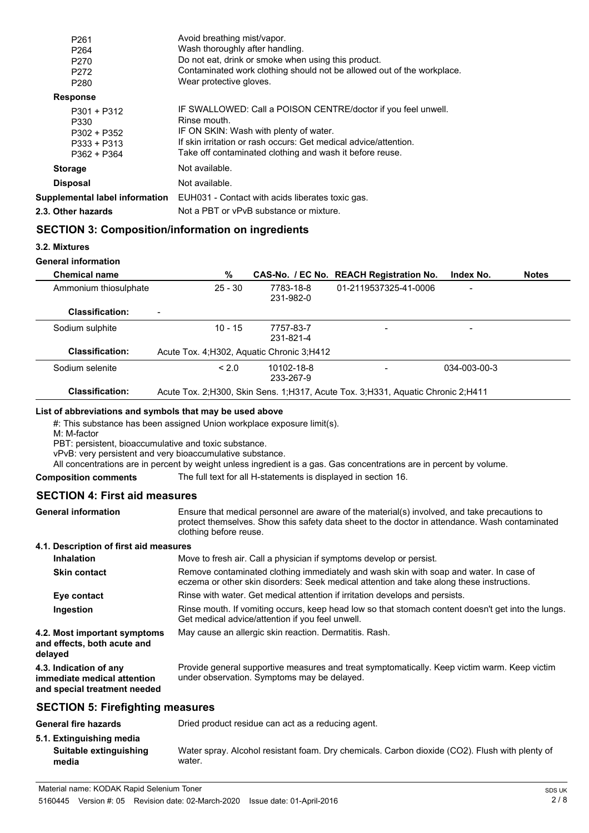| P261                                  | Avoid breathing mist/vapor.                                            |
|---------------------------------------|------------------------------------------------------------------------|
| P <sub>264</sub>                      | Wash thoroughly after handling.                                        |
| P270                                  | Do not eat, drink or smoke when using this product.                    |
| P272                                  | Contaminated work clothing should not be allowed out of the workplace. |
| P280                                  | Wear protective gloves.                                                |
| <b>Response</b>                       |                                                                        |
| $P301 + P312$                         | IF SWALLOWED: Call a POISON CENTRE/doctor if you feel unwell.          |
| P330                                  | Rinse mouth.                                                           |
| $P302 + P352$                         | IF ON SKIN: Wash with plenty of water.                                 |
| $P333 + P313$                         | If skin irritation or rash occurs: Get medical advice/attention.       |
| P362 + P364                           | Take off contaminated clothing and wash it before reuse.               |
| <b>Storage</b>                        | Not available.                                                         |
| <b>Disposal</b>                       | Not available.                                                         |
| <b>Supplemental label information</b> | EUH031 - Contact with acids liberates toxic gas.                       |
| 2.3. Other hazards                    | Not a PBT or vPvB substance or mixture.                                |
|                                       |                                                                        |

### **SECTION 3: Composition/information on ingredients**

#### **3.2. Mixtures**

#### **General information**

| <b>Chemical name</b>   | %                                           |                         | CAS-No. / EC No. REACH Registration No.                                             | Index No.                | <b>Notes</b> |
|------------------------|---------------------------------------------|-------------------------|-------------------------------------------------------------------------------------|--------------------------|--------------|
| Ammonium thiosulphate  | $25 - 30$                                   | 7783-18-8<br>231-982-0  | 01-2119537325-41-0006                                                               | $\overline{\phantom{a}}$ |              |
| <b>Classification:</b> | $\overline{\phantom{0}}$                    |                         |                                                                                     |                          |              |
| Sodium sulphite        | $10 - 15$                                   | 7757-83-7<br>231-821-4  |                                                                                     | $\overline{\phantom{a}}$ |              |
| <b>Classification:</b> | Acute Tox. 4; H302, Aquatic Chronic 3; H412 |                         |                                                                                     |                          |              |
| Sodium selenite        | < 2.0                                       | 10102-18-8<br>233-267-9 |                                                                                     | 034-003-00-3             |              |
| <b>Classification:</b> |                                             |                         | Acute Tox. 2: H300, Skin Sens. 1: H317, Acute Tox. 3: H331, Aquatic Chronic 2: H411 |                          |              |

#### **List of abbreviations and symbols that may be used above**

#: This substance has been assigned Union workplace exposure limit(s).

M: M-factor

PBT: persistent, bioaccumulative and toxic substance.

vPvB: very persistent and very bioaccumulative substance.

All concentrations are in percent by weight unless ingredient is a gas. Gas concentrations are in percent by volume.

#### **Composition comments** The full text for all H-statements is displayed in section 16.

#### **SECTION 4: First aid measures**

| <b>General information</b>             | Ensure that medical personnel are aware of the material(s) involved, and take precautions to<br>protect themselves. Show this safety data sheet to the doctor in attendance. Wash contaminated<br>clothing before reuse. |
|----------------------------------------|--------------------------------------------------------------------------------------------------------------------------------------------------------------------------------------------------------------------------|
| 4.1. Description of first aid measures |                                                                                                                                                                                                                          |

| Inhalation                                                                            | Move to fresh air. Call a physician if symptoms develop or persist.                                                                                                                 |  |
|---------------------------------------------------------------------------------------|-------------------------------------------------------------------------------------------------------------------------------------------------------------------------------------|--|
| <b>Skin contact</b>                                                                   | Remove contaminated clothing immediately and wash skin with soap and water. In case of<br>eczema or other skin disorders: Seek medical attention and take along these instructions. |  |
| Eye contact                                                                           | Rinse with water. Get medical attention if irritation develops and persists.                                                                                                        |  |
| Ingestion                                                                             | Rinse mouth. If vomiting occurs, keep head low so that stomach content doesn't get into the lungs.<br>Get medical advice/attention if you feel unwell.                              |  |
| 4.2. Most important symptoms<br>and effects, both acute and<br>delayed                | May cause an allergic skin reaction. Dermatitis. Rash.                                                                                                                              |  |
| 4.3. Indication of any<br>immediate medical attention<br>and special treatment needed | Provide general supportive measures and treat symptomatically. Keep victim warm. Keep victim<br>under observation. Symptoms may be delayed.                                         |  |

#### **SECTION 5: Firefighting measures**

| <b>General fire hazards</b>                                 | Dried product residue can act as a reducing agent.                                                       |
|-------------------------------------------------------------|----------------------------------------------------------------------------------------------------------|
| 5.1. Extinguishing media<br>Suitable extinguishing<br>media | Water spray. Alcohol resistant foam. Dry chemicals. Carbon dioxide (CO2). Flush with plenty of<br>water. |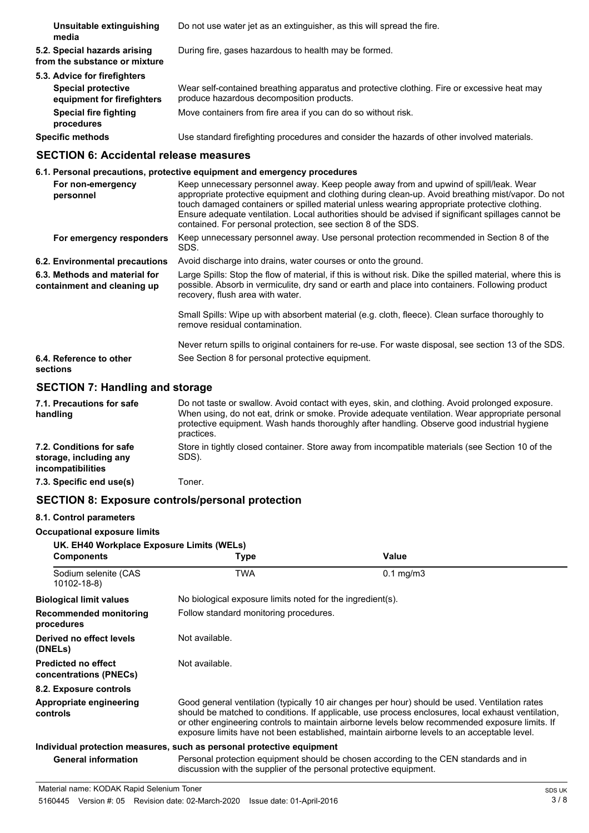**Unsuitable extinguishing** Do not use water jet as an extinguisher, as this will spread the fire. **media 5.2. Special hazards arising** During fire, gases hazardous to health may be formed. **from the substance or mixture 5.3. Advice for firefighters** Wear self-contained breathing apparatus and protective clothing. Fire or excessive heat may produce hazardous decomposition products. **Special protective equipment for firefighters Special fire fighting** Move containers from fire area if you can do so without risk. **procedures Specific methods** Use standard firefighting procedures and consider the hazards of other involved materials.

#### **SECTION 6: Accidental release measures**

|                                                              | 6.1. Personal precautions, protective equipment and emergency procedures                                                                                                                                                                                                                                                                                                                                                                                           |
|--------------------------------------------------------------|--------------------------------------------------------------------------------------------------------------------------------------------------------------------------------------------------------------------------------------------------------------------------------------------------------------------------------------------------------------------------------------------------------------------------------------------------------------------|
| For non-emergency<br>personnel                               | Keep unnecessary personnel away. Keep people away from and upwind of spill/leak. Wear<br>appropriate protective equipment and clothing during clean-up. Avoid breathing mist/vapor. Do not<br>touch damaged containers or spilled material unless wearing appropriate protective clothing.<br>Ensure adequate ventilation. Local authorities should be advised if significant spillages cannot be<br>contained. For personal protection, see section 8 of the SDS. |
| For emergency responders                                     | Keep unnecessary personnel away. Use personal protection recommended in Section 8 of the<br>SDS.                                                                                                                                                                                                                                                                                                                                                                   |
| 6.2. Environmental precautions                               | Avoid discharge into drains, water courses or onto the ground.                                                                                                                                                                                                                                                                                                                                                                                                     |
| 6.3. Methods and material for<br>containment and cleaning up | Large Spills: Stop the flow of material, if this is without risk. Dike the spilled material, where this is<br>possible. Absorb in vermiculite, dry sand or earth and place into containers. Following product<br>recovery, flush area with water.                                                                                                                                                                                                                  |
|                                                              | Small Spills: Wipe up with absorbent material (e.g. cloth, fleece). Clean surface thoroughly to<br>remove residual contamination.                                                                                                                                                                                                                                                                                                                                  |
| 6.4. Reference to other<br>sections                          | Never return spills to original containers for re-use. For waste disposal, see section 13 of the SDS.<br>See Section 8 for personal protective equipment.                                                                                                                                                                                                                                                                                                          |

#### **SECTION 7: Handling and storage**

| 7.1. Precautions for safe<br>handling                                   | Do not taste or swallow. Avoid contact with eyes, skin, and clothing. Avoid prolonged exposure.<br>When using, do not eat, drink or smoke. Provide adequate ventilation. Wear appropriate personal<br>protective equipment. Wash hands thoroughly after handling. Observe good industrial hygiene<br>practices. |
|-------------------------------------------------------------------------|-----------------------------------------------------------------------------------------------------------------------------------------------------------------------------------------------------------------------------------------------------------------------------------------------------------------|
| 7.2. Conditions for safe<br>storage, including any<br>incompatibilities | Store in tightly closed container. Store away from incompatible materials (see Section 10 of the<br>SDS).                                                                                                                                                                                                       |
| 7.3. Specific end use(s)                                                | Toner.                                                                                                                                                                                                                                                                                                          |

#### **SECTION 8: Exposure controls/personal protection**

#### **8.1. Control parameters**

**Occupational exposure limits**

| UK. EH40 Workplace Exposure Limits (WELs)     |                                                                                                                                                                                                                                                                                                                                                                                                        |                                                                                      |  |
|-----------------------------------------------|--------------------------------------------------------------------------------------------------------------------------------------------------------------------------------------------------------------------------------------------------------------------------------------------------------------------------------------------------------------------------------------------------------|--------------------------------------------------------------------------------------|--|
| <b>Components</b>                             | Type                                                                                                                                                                                                                                                                                                                                                                                                   | Value                                                                                |  |
| Sodium selenite (CAS<br>10102-18-8)           | TWA                                                                                                                                                                                                                                                                                                                                                                                                    | $0.1 \text{ mg/m}$                                                                   |  |
| <b>Biological limit values</b>                | No biological exposure limits noted for the ingredient(s).                                                                                                                                                                                                                                                                                                                                             |                                                                                      |  |
| <b>Recommended monitoring</b><br>procedures   | Follow standard monitoring procedures.                                                                                                                                                                                                                                                                                                                                                                 |                                                                                      |  |
| Derived no effect levels<br>(DNELs)           | Not available.                                                                                                                                                                                                                                                                                                                                                                                         |                                                                                      |  |
| Predicted no effect<br>concentrations (PNECs) | Not available.                                                                                                                                                                                                                                                                                                                                                                                         |                                                                                      |  |
| 8.2. Exposure controls                        |                                                                                                                                                                                                                                                                                                                                                                                                        |                                                                                      |  |
| Appropriate engineering<br>controls           | Good general ventilation (typically 10 air changes per hour) should be used. Ventilation rates<br>should be matched to conditions. If applicable, use process enclosures, local exhaust ventilation,<br>or other engineering controls to maintain airborne levels below recommended exposure limits. If<br>exposure limits have not been established, maintain airborne levels to an acceptable level. |                                                                                      |  |
|                                               | Individual protection measures, such as personal protective equipment                                                                                                                                                                                                                                                                                                                                  |                                                                                      |  |
| <b>General information</b>                    | discussion with the supplier of the personal protective equipment.                                                                                                                                                                                                                                                                                                                                     | Personal protection equipment should be chosen according to the CEN standards and in |  |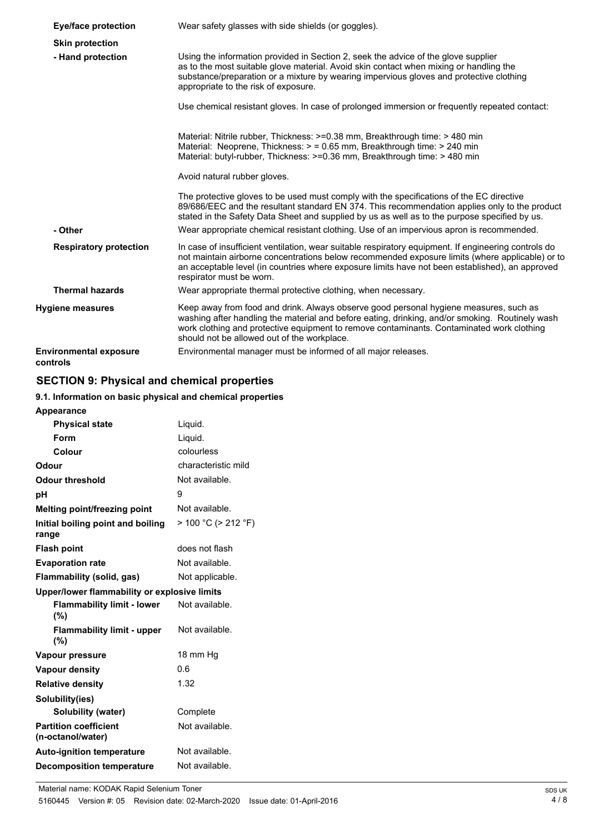| Eye/face protection                       | Wear safety glasses with side shields (or goggles).                                                                                                                                                                                                                                                                                    |  |
|-------------------------------------------|----------------------------------------------------------------------------------------------------------------------------------------------------------------------------------------------------------------------------------------------------------------------------------------------------------------------------------------|--|
| <b>Skin protection</b>                    |                                                                                                                                                                                                                                                                                                                                        |  |
| - Hand protection                         | Using the information provided in Section 2, seek the advice of the glove supplier<br>as to the most suitable glove material. Avoid skin contact when mixing or handling the<br>substance/preparation or a mixture by wearing impervious gloves and protective clothing<br>appropriate to the risk of exposure.                        |  |
|                                           | Use chemical resistant gloves. In case of prolonged immersion or frequently repeated contact:                                                                                                                                                                                                                                          |  |
|                                           | Material: Nitrile rubber, Thickness: >=0.38 mm, Breakthrough time: > 480 min<br>Material: Neoprene, Thickness: > = 0.65 mm, Breakthrough time: > 240 min<br>Material: butyl-rubber, Thickness: >=0.36 mm, Breakthrough time: > 480 min                                                                                                 |  |
|                                           | Avoid natural rubber gloves.                                                                                                                                                                                                                                                                                                           |  |
|                                           | The protective gloves to be used must comply with the specifications of the EC directive<br>89/686/EEC and the resultant standard EN 374. This recommendation applies only to the product<br>stated in the Safety Data Sheet and supplied by us as well as to the purpose specified by us.                                             |  |
| - Other                                   | Wear appropriate chemical resistant clothing. Use of an impervious apron is recommended.                                                                                                                                                                                                                                               |  |
| <b>Respiratory protection</b>             | In case of insufficient ventilation, wear suitable respiratory equipment. If engineering controls do<br>not maintain airborne concentrations below recommended exposure limits (where applicable) or to<br>an acceptable level (in countries where exposure limits have not been established), an approved<br>respirator must be worn. |  |
| <b>Thermal hazards</b>                    | Wear appropriate thermal protective clothing, when necessary.                                                                                                                                                                                                                                                                          |  |
| <b>Hygiene measures</b>                   | Keep away from food and drink. Always observe good personal hygiene measures, such as<br>washing after handling the material and before eating, drinking, and/or smoking. Routinely wash<br>work clothing and protective equipment to remove contaminants. Contaminated work clothing<br>should not be allowed out of the workplace.   |  |
| <b>Environmental exposure</b><br>controls | Environmental manager must be informed of all major releases.                                                                                                                                                                                                                                                                          |  |

# **SECTION 9: Physical and chemical properties**

# **9.1. Information on basic physical and chemical properties**

| <b>Appearance</b>                                 |                     |
|---------------------------------------------------|---------------------|
| <b>Physical state</b>                             | Liquid.             |
| Form                                              | Liquid.             |
| Colour                                            | colourless          |
| Odour                                             | characteristic mild |
| <b>Odour threshold</b>                            | Not available.      |
| рH                                                | 9                   |
| <b>Melting point/freezing point</b>               | Not available.      |
| Initial boiling point and boiling<br>range        | > 100 °C (> 212 °F) |
| <b>Flash point</b>                                | does not flash      |
| <b>Evaporation rate</b>                           | Not available.      |
| Flammability (solid, gas)                         | Not applicable.     |
| Upper/lower flammability or explosive limits      |                     |
| <b>Flammability limit - lower</b><br>(%)          | Not available.      |
| <b>Flammability limit - upper</b><br>(%)          | Not available.      |
| Vapour pressure                                   | 18 mm Hg            |
| <b>Vapour density</b>                             | 0.6                 |
| <b>Relative density</b>                           | 1.32                |
| Solubility(ies)                                   |                     |
| Solubility (water)                                | Complete            |
| <b>Partition coefficient</b><br>(n-octanol/water) | Not available.      |
| <b>Auto-ignition temperature</b>                  | Not available.      |
| <b>Decomposition temperature</b>                  | Not available.      |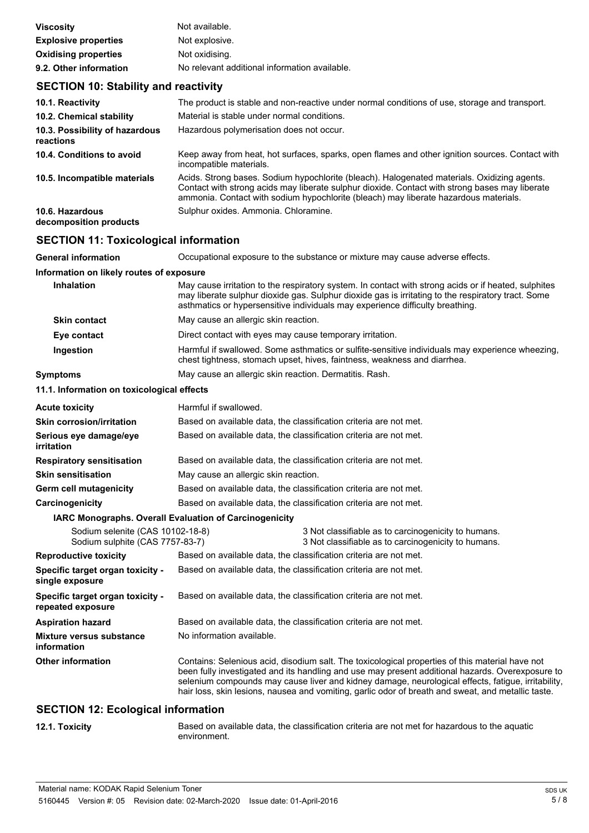| <b>Viscosity</b>            | Not available.                                |
|-----------------------------|-----------------------------------------------|
| <b>Explosive properties</b> | Not explosive.                                |
| <b>Oxidising properties</b> | Not oxidising.                                |
| 9.2. Other information      | No relevant additional information available. |

# **SECTION 10: Stability and reactivity**

| 10.1. Reactivity                            | The product is stable and non-reactive under normal conditions of use, storage and transport.                                                                                                                                                                                         |
|---------------------------------------------|---------------------------------------------------------------------------------------------------------------------------------------------------------------------------------------------------------------------------------------------------------------------------------------|
| 10.2. Chemical stability                    | Material is stable under normal conditions.                                                                                                                                                                                                                                           |
| 10.3. Possibility of hazardous<br>reactions | Hazardous polymerisation does not occur.                                                                                                                                                                                                                                              |
| 10.4. Conditions to avoid                   | Keep away from heat, hot surfaces, sparks, open flames and other ignition sources. Contact with<br>incompatible materials.                                                                                                                                                            |
| 10.5. Incompatible materials                | Acids. Strong bases. Sodium hypochlorite (bleach). Halogenated materials. Oxidizing agents.<br>Contact with strong acids may liberate sulphur dioxide. Contact with strong bases may liberate<br>ammonia. Contact with sodium hypochlorite (bleach) may liberate hazardous materials. |
| 10.6. Hazardous<br>decomposition products   | Sulphur oxides. Ammonia. Chloramine.                                                                                                                                                                                                                                                  |

# **SECTION 11: Toxicological information**

| <b>General information</b>                                          | Occupational exposure to the substance or mixture may cause adverse effects.                                                                                                                                                                                                                                                                                                                                    |  |  |
|---------------------------------------------------------------------|-----------------------------------------------------------------------------------------------------------------------------------------------------------------------------------------------------------------------------------------------------------------------------------------------------------------------------------------------------------------------------------------------------------------|--|--|
| Information on likely routes of exposure                            |                                                                                                                                                                                                                                                                                                                                                                                                                 |  |  |
| Inhalation                                                          | May cause irritation to the respiratory system. In contact with strong acids or if heated, sulphites<br>may liberate sulphur dioxide gas. Sulphur dioxide gas is irritating to the respiratory tract. Some<br>asthmatics or hypersensitive individuals may experience difficulty breathing.                                                                                                                     |  |  |
| <b>Skin contact</b>                                                 | May cause an allergic skin reaction.                                                                                                                                                                                                                                                                                                                                                                            |  |  |
| Eye contact                                                         | Direct contact with eyes may cause temporary irritation.                                                                                                                                                                                                                                                                                                                                                        |  |  |
| Ingestion                                                           | Harmful if swallowed. Some asthmatics or sulfite-sensitive individuals may experience wheezing,<br>chest tightness, stomach upset, hives, faintness, weakness and diarrhea.                                                                                                                                                                                                                                     |  |  |
| Symptoms                                                            | May cause an allergic skin reaction. Dermatitis. Rash.                                                                                                                                                                                                                                                                                                                                                          |  |  |
| 11.1. Information on toxicological effects                          |                                                                                                                                                                                                                                                                                                                                                                                                                 |  |  |
| Acute toxicity                                                      | Harmful if swallowed.                                                                                                                                                                                                                                                                                                                                                                                           |  |  |
| Skin corrosion/irritation                                           | Based on available data, the classification criteria are not met.                                                                                                                                                                                                                                                                                                                                               |  |  |
| Serious eye damage/eye<br>irritation                                | Based on available data, the classification criteria are not met.                                                                                                                                                                                                                                                                                                                                               |  |  |
| <b>Respiratory sensitisation</b>                                    | Based on available data, the classification criteria are not met.                                                                                                                                                                                                                                                                                                                                               |  |  |
| <b>Skin sensitisation</b>                                           | May cause an allergic skin reaction.                                                                                                                                                                                                                                                                                                                                                                            |  |  |
| <b>Germ cell mutagenicity</b>                                       | Based on available data, the classification criteria are not met.                                                                                                                                                                                                                                                                                                                                               |  |  |
| Carcinogenicity                                                     | Based on available data, the classification criteria are not met.                                                                                                                                                                                                                                                                                                                                               |  |  |
|                                                                     | IARC Monographs. Overall Evaluation of Carcinogenicity                                                                                                                                                                                                                                                                                                                                                          |  |  |
| Sodium selenite (CAS 10102-18-8)<br>Sodium sulphite (CAS 7757-83-7) | 3 Not classifiable as to carcinogenicity to humans.<br>3 Not classifiable as to carcinogenicity to humans.                                                                                                                                                                                                                                                                                                      |  |  |
| <b>Reproductive toxicity</b>                                        | Based on available data, the classification criteria are not met.                                                                                                                                                                                                                                                                                                                                               |  |  |
| Specific target organ toxicity -<br>single exposure                 | Based on available data, the classification criteria are not met.                                                                                                                                                                                                                                                                                                                                               |  |  |
| Specific target organ toxicity -<br>repeated exposure               | Based on available data, the classification criteria are not met.                                                                                                                                                                                                                                                                                                                                               |  |  |
| <b>Aspiration hazard</b>                                            | Based on available data, the classification criteria are not met.                                                                                                                                                                                                                                                                                                                                               |  |  |
| Mixture versus substance<br>information                             | No information available.                                                                                                                                                                                                                                                                                                                                                                                       |  |  |
| <b>Other information</b>                                            | Contains: Selenious acid, disodium salt. The toxicological properties of this material have not<br>been fully investigated and its handling and use may present additional hazards. Overexposure to<br>selenium compounds may cause liver and kidney damage, neurological effects, fatigue, irritability,<br>hair loss, skin lesions, nausea and vomiting, garlic odor of breath and sweat, and metallic taste. |  |  |
|                                                                     |                                                                                                                                                                                                                                                                                                                                                                                                                 |  |  |

## **SECTION 12: Ecological information**

**12.1. Toxicity** Based on available data, the classification criteria are not met for hazardous to the aquatic environment.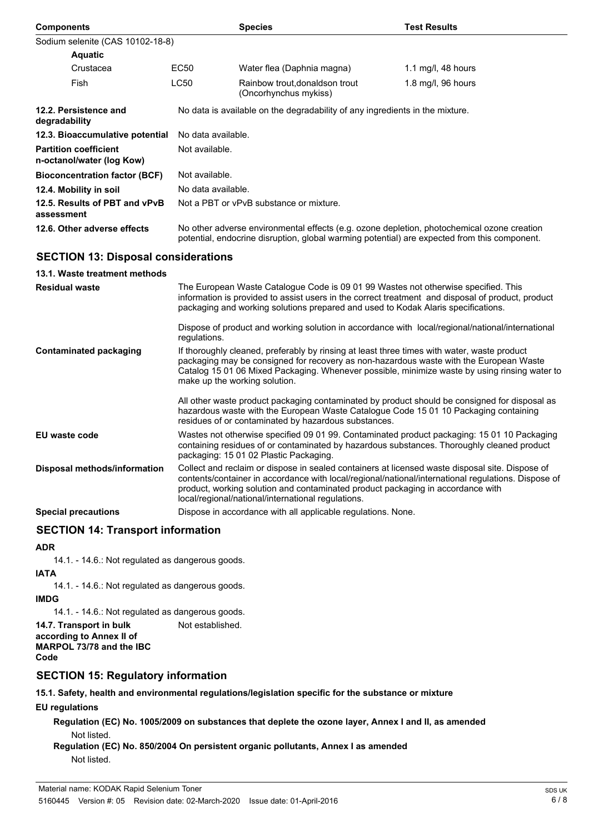| <b>Components</b>                                         |                                                                                                                                                                                                                                                                              | <b>Species</b>                                                                                                                        | <b>Test Results</b>                                                                                                                                                                                    |  |
|-----------------------------------------------------------|------------------------------------------------------------------------------------------------------------------------------------------------------------------------------------------------------------------------------------------------------------------------------|---------------------------------------------------------------------------------------------------------------------------------------|--------------------------------------------------------------------------------------------------------------------------------------------------------------------------------------------------------|--|
| Sodium selenite (CAS 10102-18-8)                          |                                                                                                                                                                                                                                                                              |                                                                                                                                       |                                                                                                                                                                                                        |  |
| <b>Aquatic</b>                                            |                                                                                                                                                                                                                                                                              |                                                                                                                                       |                                                                                                                                                                                                        |  |
| Crustacea                                                 | EC50                                                                                                                                                                                                                                                                         | Water flea (Daphnia magna)                                                                                                            | 1.1 mg/l, $48$ hours                                                                                                                                                                                   |  |
| Fish                                                      | <b>LC50</b>                                                                                                                                                                                                                                                                  | Rainbow trout, donaldson trout<br>(Oncorhynchus mykiss)                                                                               | 1.8 mg/l, 96 hours                                                                                                                                                                                     |  |
| 12.2. Persistence and<br>degradability                    | No data is available on the degradability of any ingredients in the mixture.                                                                                                                                                                                                 |                                                                                                                                       |                                                                                                                                                                                                        |  |
| 12.3. Bioaccumulative potential                           | No data available.                                                                                                                                                                                                                                                           |                                                                                                                                       |                                                                                                                                                                                                        |  |
| <b>Partition coefficient</b><br>n-octanol/water (log Kow) | Not available.                                                                                                                                                                                                                                                               |                                                                                                                                       |                                                                                                                                                                                                        |  |
| <b>Bioconcentration factor (BCF)</b>                      |                                                                                                                                                                                                                                                                              | Not available.                                                                                                                        |                                                                                                                                                                                                        |  |
| 12.4. Mobility in soil                                    |                                                                                                                                                                                                                                                                              | No data available.                                                                                                                    |                                                                                                                                                                                                        |  |
| 12.5. Results of PBT and vPvB<br>assessment               |                                                                                                                                                                                                                                                                              | Not a PBT or vPvB substance or mixture.                                                                                               |                                                                                                                                                                                                        |  |
| 12.6. Other adverse effects                               | No other adverse environmental effects (e.g. ozone depletion, photochemical ozone creation<br>potential, endocrine disruption, global warming potential) are expected from this component.                                                                                   |                                                                                                                                       |                                                                                                                                                                                                        |  |
| <b>SECTION 13: Disposal considerations</b>                |                                                                                                                                                                                                                                                                              |                                                                                                                                       |                                                                                                                                                                                                        |  |
| 13.1. Waste treatment methods                             |                                                                                                                                                                                                                                                                              |                                                                                                                                       |                                                                                                                                                                                                        |  |
| <b>Residual waste</b>                                     | The European Waste Catalogue Code is 09 01 99 Wastes not otherwise specified. This<br>information is provided to assist users in the correct treatment and disposal of product, product<br>packaging and working solutions prepared and used to Kodak Alaris specifications. |                                                                                                                                       |                                                                                                                                                                                                        |  |
|                                                           | regulations.                                                                                                                                                                                                                                                                 |                                                                                                                                       | Dispose of product and working solution in accordance with local/regional/national/international                                                                                                       |  |
| <b>Contaminated packaging</b>                             |                                                                                                                                                                                                                                                                              | If thoroughly cleaned, preferably by rinsing at least three times with water, waste product<br>make up the working solution.          | packaging may be consigned for recovery as non-hazardous waste with the European Waste<br>Catalog 15 01 06 Mixed Packaging. Whenever possible, minimize waste by using rinsing water to                |  |
|                                                           |                                                                                                                                                                                                                                                                              | residues of or contaminated by hazardous substances.                                                                                  | All other waste product packaging contaminated by product should be consigned for disposal as<br>hazardous waste with the European Waste Catalogue Code 15 01 10 Packaging containing                  |  |
| <b>EU waste code</b>                                      |                                                                                                                                                                                                                                                                              | packaging: 15 01 02 Plastic Packaging.                                                                                                | Wastes not otherwise specified 09 01 99. Contaminated product packaging: 15 01 10 Packaging<br>containing residues of or contaminated by hazardous substances. Thoroughly cleaned product              |  |
| Disposal methods/information                              |                                                                                                                                                                                                                                                                              | product, working solution and contaminated product packaging in accordance with<br>local/regional/national/international regulations. | Collect and reclaim or dispose in sealed containers at licensed waste disposal site. Dispose of<br>contents/container in accordance with local/regional/national/international regulations. Dispose of |  |
| <b>Special precautions</b>                                |                                                                                                                                                                                                                                                                              | Dispose in accordance with all applicable regulations. None.                                                                          |                                                                                                                                                                                                        |  |

# **SECTION 14: Transport information**

#### **ADR**

14.1. - 14.6.: Not regulated as dangerous goods.

#### **IATA**

14.1. - 14.6.: Not regulated as dangerous goods.

#### **IMDG**

14.1. - 14.6.: Not regulated as dangerous goods.

# **14.7. Transport in bulk** Not established.

```
according to Annex II of
MARPOL 73/78 and the IBC
Code
```
# **SECTION 15: Regulatory information**

**15.1. Safety, health and environmental regulations/legislation specific for the substance or mixture**

# **EU regulations**

**Regulation (EC) No. 1005/2009 on substances that deplete the ozone layer, Annex I and II, as amended** Not listed.

**Regulation (EC) No. 850/2004 On persistent organic pollutants, Annex I as amended** Not listed.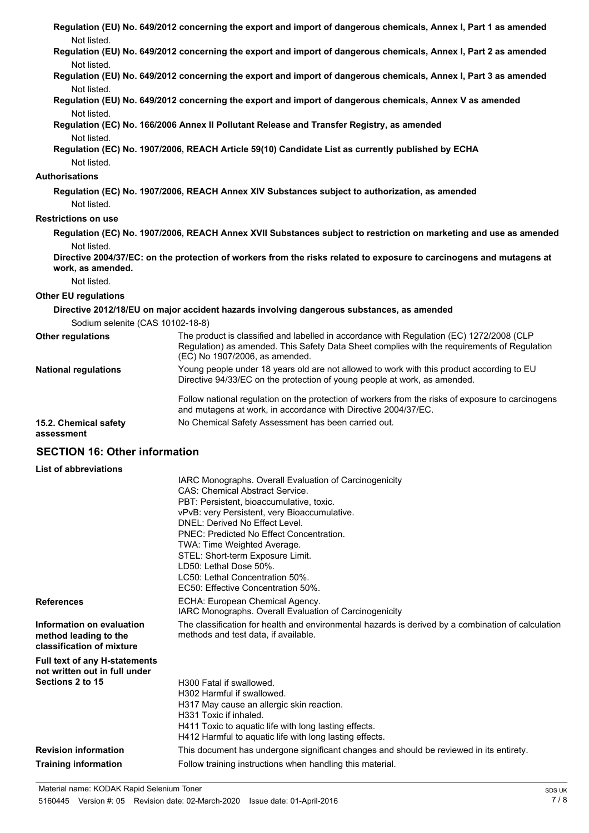|                                                                                           | Regulation (EU) No. 649/2012 concerning the export and import of dangerous chemicals, Annex I, Part 1 as amended                                                                                                                                                                                                                                                                                                                                 |
|-------------------------------------------------------------------------------------------|--------------------------------------------------------------------------------------------------------------------------------------------------------------------------------------------------------------------------------------------------------------------------------------------------------------------------------------------------------------------------------------------------------------------------------------------------|
| Not listed.                                                                               | Regulation (EU) No. 649/2012 concerning the export and import of dangerous chemicals, Annex I, Part 2 as amended                                                                                                                                                                                                                                                                                                                                 |
| Not listed.                                                                               |                                                                                                                                                                                                                                                                                                                                                                                                                                                  |
| Not listed.                                                                               | Regulation (EU) No. 649/2012 concerning the export and import of dangerous chemicals, Annex I, Part 3 as amended                                                                                                                                                                                                                                                                                                                                 |
| Not listed.                                                                               | Regulation (EU) No. 649/2012 concerning the export and import of dangerous chemicals, Annex V as amended                                                                                                                                                                                                                                                                                                                                         |
| Not listed.                                                                               | Regulation (EC) No. 166/2006 Annex II Pollutant Release and Transfer Registry, as amended                                                                                                                                                                                                                                                                                                                                                        |
| Not listed.                                                                               | Regulation (EC) No. 1907/2006, REACH Article 59(10) Candidate List as currently published by ECHA                                                                                                                                                                                                                                                                                                                                                |
| Authorisations                                                                            |                                                                                                                                                                                                                                                                                                                                                                                                                                                  |
| Not listed.                                                                               | Regulation (EC) No. 1907/2006, REACH Annex XIV Substances subject to authorization, as amended                                                                                                                                                                                                                                                                                                                                                   |
| <b>Restrictions on use</b>                                                                |                                                                                                                                                                                                                                                                                                                                                                                                                                                  |
|                                                                                           | Regulation (EC) No. 1907/2006, REACH Annex XVII Substances subject to restriction on marketing and use as amended                                                                                                                                                                                                                                                                                                                                |
| Not listed.                                                                               |                                                                                                                                                                                                                                                                                                                                                                                                                                                  |
| work, as amended.                                                                         | Directive 2004/37/EC: on the protection of workers from the risks related to exposure to carcinogens and mutagens at                                                                                                                                                                                                                                                                                                                             |
| Not listed.                                                                               |                                                                                                                                                                                                                                                                                                                                                                                                                                                  |
| <b>Other EU regulations</b>                                                               |                                                                                                                                                                                                                                                                                                                                                                                                                                                  |
|                                                                                           | Directive 2012/18/EU on major accident hazards involving dangerous substances, as amended                                                                                                                                                                                                                                                                                                                                                        |
| Sodium selenite (CAS 10102-18-8)                                                          |                                                                                                                                                                                                                                                                                                                                                                                                                                                  |
| Other regulations                                                                         | The product is classified and labelled in accordance with Regulation (EC) 1272/2008 (CLP<br>Regulation) as amended. This Safety Data Sheet complies with the requirements of Regulation<br>(EC) No 1907/2006, as amended.                                                                                                                                                                                                                        |
| <b>National regulations</b>                                                               | Young people under 18 years old are not allowed to work with this product according to EU<br>Directive 94/33/EC on the protection of young people at work, as amended.                                                                                                                                                                                                                                                                           |
|                                                                                           | Follow national regulation on the protection of workers from the risks of exposure to carcinogens<br>and mutagens at work, in accordance with Directive 2004/37/EC.                                                                                                                                                                                                                                                                              |
| 15.2. Chemical safety<br>assessment                                                       | No Chemical Safety Assessment has been carried out.                                                                                                                                                                                                                                                                                                                                                                                              |
| <b>SECTION 16: Other information</b>                                                      |                                                                                                                                                                                                                                                                                                                                                                                                                                                  |
| List of abbreviations                                                                     |                                                                                                                                                                                                                                                                                                                                                                                                                                                  |
|                                                                                           | IARC Monographs. Overall Evaluation of Carcinogenicity<br><b>CAS: Chemical Abstract Service.</b><br>PBT: Persistent, bioaccumulative, toxic.<br>vPvB: very Persistent, very Bioaccumulative.<br>DNEL: Derived No Effect Level.<br>PNEC: Predicted No Effect Concentration.<br>TWA: Time Weighted Average.<br>STEL: Short-term Exposure Limit.<br>LD50: Lethal Dose 50%.<br>LC50: Lethal Concentration 50%.<br>EC50: Effective Concentration 50%. |
| <b>References</b>                                                                         | ECHA: European Chemical Agency.<br>IARC Monographs. Overall Evaluation of Carcinogenicity                                                                                                                                                                                                                                                                                                                                                        |
| Information on evaluation<br>method leading to the<br>classification of mixture           | The classification for health and environmental hazards is derived by a combination of calculation<br>methods and test data, if available.                                                                                                                                                                                                                                                                                                       |
| <b>Full text of any H-statements</b><br>not written out in full under<br>Sections 2 to 15 | H300 Fatal if swallowed.                                                                                                                                                                                                                                                                                                                                                                                                                         |
|                                                                                           | H302 Harmful if swallowed.<br>H317 May cause an allergic skin reaction.<br>LI331 Tovio if inholod                                                                                                                                                                                                                                                                                                                                                |

- H331 Toxic if inhaled.
- H411 Toxic to aquatic life with long lasting effects.
- H412 Harmful to aquatic life with long lasting effects.
- **Revision information** This document has undergone significant changes and should be reviewed in its entirety.

**Training information** Follow training instructions when handling this material.